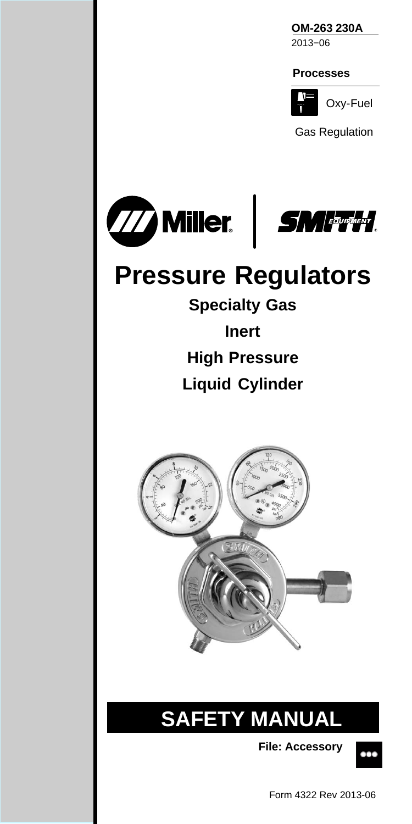**OM-263 230A** 2013−06



Oxy-Fuel

Gas Regulation



# **Pressure Regulators**

**Specialty Gas Inert High Pressure Liquid Cylinder**



## **SAFETY MANUAL**

**File: Accessory**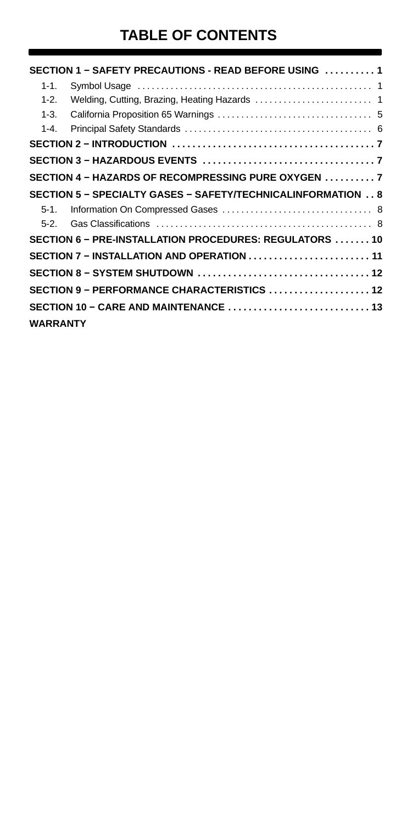## **TABLE OF CONTENTS**

|                 | SECTION 1 - SAFETY PRECAUTIONS - READ BEFORE USING  1       |  |
|-----------------|-------------------------------------------------------------|--|
| $1 - 1$ .       |                                                             |  |
| $1 - 2$ .       |                                                             |  |
| $1 - 3.$        |                                                             |  |
| $1 - 4.$        |                                                             |  |
|                 |                                                             |  |
|                 |                                                             |  |
|                 | SECTION 4 - HAZARDS OF RECOMPRESSING PURE OXYGEN  7         |  |
|                 | SECTION 5 - SPECIALTY GASES - SAFETY/TECHNICALINFORMATION 8 |  |
| $5-1$           |                                                             |  |
| $5-2.$          |                                                             |  |
|                 | SECTION 6 - PRE-INSTALLATION PROCEDURES: REGULATORS  10     |  |
|                 | SECTION 7 - INSTALLATION AND OPERATION  11                  |  |
|                 | SECTION 8 - SYSTEM SHUTDOWN  12                             |  |
|                 | SECTION 9 - PERFORMANCE CHARACTERISTICS $\ldots$ 12         |  |
|                 |                                                             |  |
| <b>WARRANTY</b> |                                                             |  |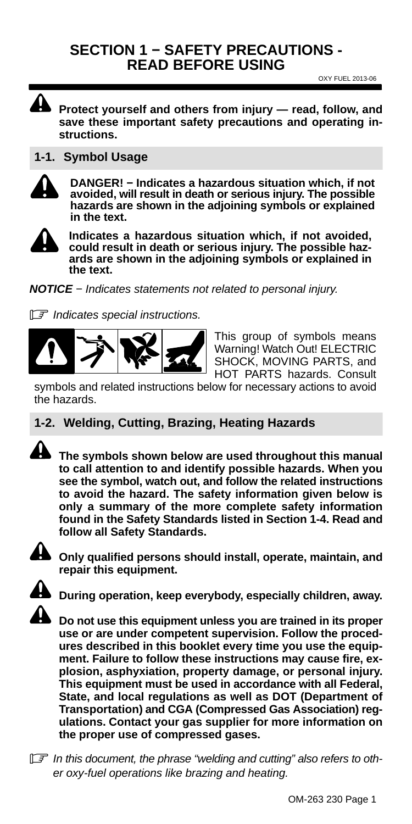#### <span id="page-2-0"></span>**SECTION 1 − SAFETY PRECAUTIONS - READ BEFORE USING**

OXY FUEL 2013-06

**Protect yourself and others from injury — read, follow, and save these important safety precautions and operating instructions.**

#### **1-1. Symbol Usage**

**DANGER! − Indicates a hazardous situation which, if not avoided, will result in death or serious injury. The possible hazards are shown in the adjoining symbols or explained in the text.**



**Indicates a hazardous situation which, if not avoided, could result in death or serious injury. The possible hazards are shown in the adjoining symbols or explained in the text.**

*NOTICE − Indicates statements not related to personal injury.*

- *Indicates special instructions.*



This group of symbols means Warning! Watch Out! ELECTRIC SHOCK, MOVING PARTS, and HOT PARTS hazards. Consult

symbols and related instructions below for necessary actions to avoid the hazards.

#### **1-2. Welding, Cutting, Brazing, Heating Hazards**



**The symbols shown below are used throughout this manual to call attention to and identify possible hazards. When you see the symbol, watch out, and follow the related instructions to avoid the hazard. The safety information given below is only a summary of the more complete safety information found in the Safety Standards listed in Section [1-4.](#page-7-0) Read and follow all Safety Standards.**



**Only qualified persons should install, operate, maintain, and repair this equipment.**



**During operation, keep everybody, especially children, away.**



**Do not use this equipment unless you are trained in its proper use or are under competent supervision. Follow the procedures described in this booklet every time you use the equipment. Failure to follow these instructions may cause fire, explosion, asphyxiation, property damage, or personal injury. This equipment must be used in accordance with all Federal, State, and local regulations as well as DOT (Department of Transportation) and CGA (Compressed Gas Association) regulations. Contact your gas supplier for more information on the proper use of compressed gases.**

- *In this document, the phrase "welding and cutting" also refers to other oxy-fuel operations like brazing and heating.*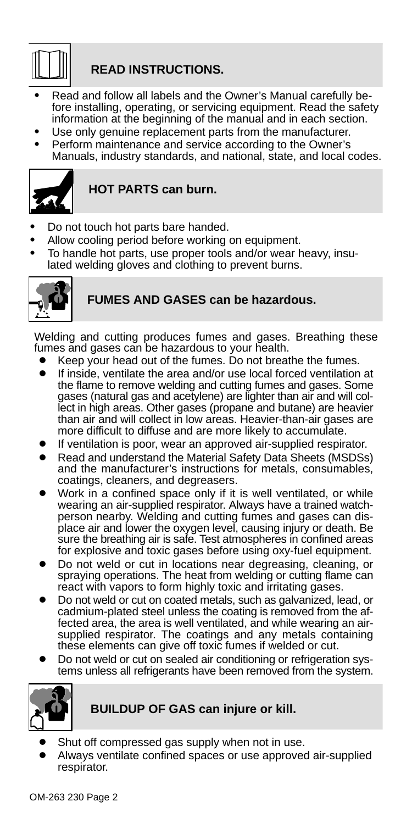

#### **READ INSTRUCTIONS.**

- Read and follow all labels and the Owner's Manual carefully before installing, operating, or servicing equipment. Read the safety information at the beginning of the manual and in each section.
- Use only genuine replacement parts from the manufacturer.
- Perform maintenance and service according to the Owner's Manuals, industry standards, and national, state, and local codes.



#### **HOT PARTS can burn.**

- Do not touch hot parts bare handed.
- Allow cooling period before working on equipment.
- To handle hot parts, use proper tools and/or wear heavy, insulated welding gloves and clothing to prevent burns.



#### **FUMES AND GASES can be hazardous.**

Welding and cutting produces fumes and gases. Breathing these fumes and gases can be hazardous to your health.

- Keep your head out of the fumes. Do not breathe the fumes.
- If inside, ventilate the area and/or use local forced ventilation at the flame to remove welding and cutting fumes and gases. Some gases (natural gas and acetylene) are lighter than air and will col-lect in high areas. Other gases (propane and butane) are heavier than air and will collect in low areas. Heavier-than-air gases are more difficult to diffuse and are more likely to accumulate.
- If ventilation is poor, wear an approved air-supplied respirator.
- Read and understand the Material Safety Data Sheets (MSDSs) and the manufacturer's instructions for metals, consumables, coatings, cleaners, and degreasers.
- Work in a confined space only if it is well ventilated, or while wearing an air-supplied respirator. Always have a trained watchperson nearby. Welding and cutting fumes and gases can dis-<br>place air and lower the oxygen level, causing injury or death. Be sure the breathing air is safe. Test atmospheres in confined areas for explosive and toxic gases before using oxy-fuel equipment.
- Do not weld or cut in locations near degreasing, cleaning, or spraying operations. The heat from welding or cutting flame can react with vapors to form highly toxic and irritating gases.
- Do not weld or cut on coated metals, such as galvanized, lead, or cadmium-plated steel unless the coating is removed from the affected area, the area is well ventilated, and while wearing an airsupplied respirator. The coatings and any metals containing these elements can give off toxic fumes if welded or cut.
- Do not weld or cut on sealed air conditioning or refrigeration systems unless all refrigerants have been removed from the system.



#### **BUILDUP OF GAS can injure or kill.**

- Shut off compressed gas supply when not in use.
- Always ventilate confined spaces or use approved air-supplied respirator.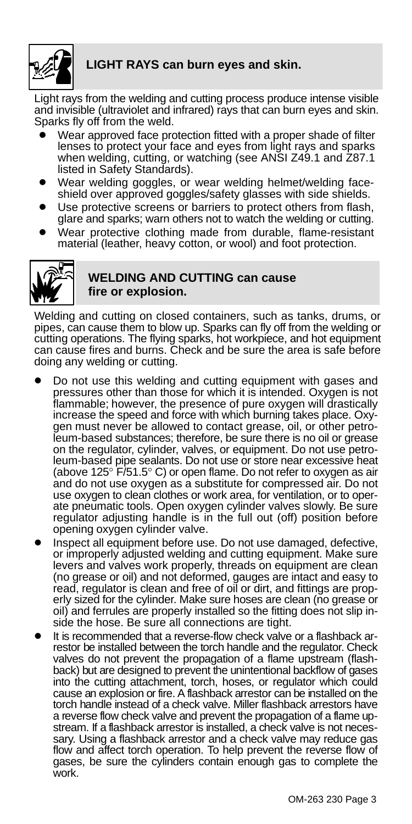

#### **LIGHT RAYS can burn eyes and skin.**

Light rays from the welding and cutting process produce intense visible<br>and invisible (ultraviolet and infrared) rays that can burn eyes and skin.<br>Sparks fly off from the weld.

- Wear approved face protection fitted with a proper shade of filter lenses to protect your face and eyes from light rays and sparks when welding, cutting, or watching (see ANSI Z49.1 and Z87.1 listed in Safety Standards).
- Wear welding goggles, or wear welding helmet/welding faceshield over approved goggles/safety glasses with side shields.
- Use protective screens or barriers to protect others from flash, glare and sparks; warn others not to watch the welding or cutting.
- Wear protective clothing made from durable, flame-resistant material (leather, heavy cotton, or wool) and foot protection.



#### **WELDING AND CUTTING can cause fire or explosion.**

Welding and cutting on closed containers, such as tanks, drums, or<br>pipes, can cause them to blow up. Sparks can fly off from the welding or<br>cutting operations. The flying sparks, hot workpiece, and hot equipment can cause fires and burns. Check and be sure the area is safe before doing any welding or cutting.

- Do not use this welding and cutting equipment with gases and pressures other than those for which it is intended. Oxygen is not flammable; however, the presence of pure oxygen will drastically increase the speed and force with which burning takes place. Oxygen must never be allowed to contact grease, oil, or other petroleum-based substances; therefore, be sure there is no oil or grease on the regulator, cylinder, valves, or equipment. Do not use petroleum-based pipe sealants. Do not use or store near excessive heat (above 125° F/51.5° C) or open flame. Do not refer to oxygen as air and do not use oxygen as a substitute for compressed air. Do not use oxygen to clean clothes or work area, for ventilation, or to operate pneumatic tools. Open oxygen cylinder valves slowly. Be sure regulator adjusting handle is in the full out (off) position before opening oxygen cylinder valve.
- Inspect all equipment before use. Do not use damaged, defective, or improperly adjusted welding and cutting equipment. Make sure levers and valves work properly, threads on equipment are clean (no grease or oil) and not deformed, gauges are intact and easy to read, regulator is clean and free of oil or dirt, and fittings are properly sized for the cylinder. Make sure hoses are clean (no grease or oil) and ferrules are properly installed so the fitting does not slip inside the hose. Be sure all connections are tight.
- It is recommended that a reverse-flow check valve or a flashback arrestor be installed between the torch handle and the regulator. Check valves do not prevent the propagation of a flame upstream (flashback) but are designed to prevent the unintentional backflow of gases into the cutting attachment, torch, hoses, or regulator which could cause an explosion or fire. A flashback arrestor can be installed on the torch handle instead of a check valve. Miller flashback arrestors have a reverse flow check valve and prevent the propagation of a flame upstream. If a flashback arrestor is installed, a check valve is not necessary. Using a flashback arrestor and a check valve may reduce gas flow and affect torch operation. To help prevent the reverse flow of gases, be sure the cylinders contain enough gas to complete the work.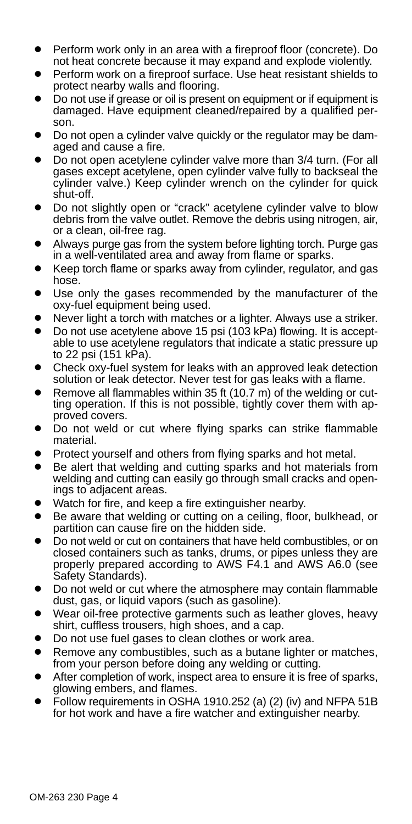- Perform work only in an area with a fireproof floor (concrete). Do not heat concrete because it may expand and explode violently.
- Perform work on a fireproof surface. Use heat resistant shields to protect nearby walls and flooring.
- Do not use if grease or oil is present on equipment or if equipment is damaged. Have equipment cleaned/repaired by a qualified person.
- Do not open a cylinder valve quickly or the regulator may be damaged and cause a fire.
- Do not open acetylene cylinder valve more than 3/4 turn. (For all gases except acetylene, open cylinder valve fully to backseal the cylinder valve.) Keep cylinder wrench on the cylinder for quick shut-off.
- Do not slightly open or "crack" acetylene cylinder valve to blow debris from the valve outlet. Remove the debris using nitrogen, air, or a clean, oil-free rag.
- Always purge gas from the system before lighting torch. Purge gas in a well-ventilated area and away from flame or sparks.
- Keep torch flame or sparks away from cylinder, regulator, and gas hose.
- Use only the gases recommended by the manufacturer of the oxy-fuel equipment being used.
- Never light a torch with matches or a lighter. Always use a striker.
- Do not use acetylene above 15 psi (103 kPa) flowing. It is acceptable to use acetylene regulators that indicate a static pressure up to 22 psi (151 kPa).
- Check oxy-fuel system for leaks with an approved leak detection solution or leak detector. Never test for gas leaks with a flame.
- Remove all flammables within 35 ft (10.7 m) of the welding or cutting operation. If this is not possible, tightly cover them with approved covers.
- Do not weld or cut where flying sparks can strike flammable material.
- Protect yourself and others from flying sparks and hot metal.
- Be alert that welding and cutting sparks and hot materials from welding and cutting can easily go through small cracks and openings to adjacent areas.
- Watch for fire, and keep a fire extinguisher nearby.
- Be aware that welding or cutting on a ceiling, floor, bulkhead, or partition can cause fire on the hidden side.
- Do not weld or cut on containers that have held combustibles, or on closed containers such as tanks, drums, or pipes unless they are properly prepared according to AWS F4.1 and AWS A6.0 (see Safety Standards).
- Do not weld or cut where the atmosphere may contain flammable dust, gas, or liquid vapors (such as gasoline).
- Wear oil-free protective garments such as leather gloves, heavy shirt, cuffless trousers, high shoes, and a cap.
- Do not use fuel gases to clean clothes or work area.
- Remove any combustibles, such as a butane lighter or matches, from your person before doing any welding or cutting.
- After completion of work, inspect area to ensure it is free of sparks, glowing embers, and flames.
- Follow requirements in OSHA 1910.252 (a) (2) (iv) and NFPA 51B for hot work and have a fire watcher and extinguisher nearby.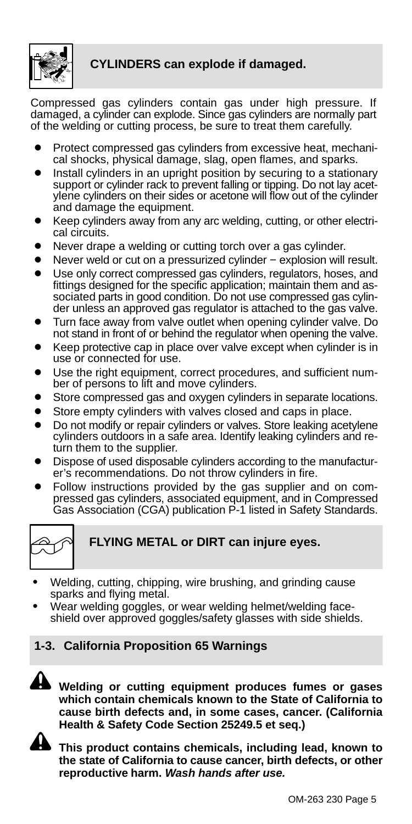<span id="page-6-0"></span>

#### **CYLINDERS can explode if damaged.**

Compressed gas cylinders contain gas under high pressure. If damaged, a cylinder can explode. Since gas cylinders are normally part of the welding or cutting process, be sure to treat them carefully.

- Protect compressed gas cylinders from excessive heat, mechanical shocks, physical damage, slag, open flames, and sparks.
- Install cylinders in an upright position by securing to a stationary support or cylinder rack to prevent falling or tipping. Do not lay acetylene cylinders on their sides or acetone will flow out of the cylinder and damage the equipment.
- Keep cylinders away from any arc welding, cutting, or other electrical circuits.
- Never drape a welding or cutting torch over a gas cylinder.
- Never weld or cut on a pressurized cylinder explosion will result.
- Use only correct compressed gas cylinders, regulators, hoses, and fittings designed for the specific application; maintain them and associated parts in good condition. Do not use compressed gas cylinder unless an approved gas regulator is attached to the gas valve.
- Turn face away from valve outlet when opening cylinder valve. Do not stand in front of or behind the regulator when opening the valve.
- Keep protective cap in place over valve except when cylinder is in use or connected for use.
- Use the right equipment, correct procedures, and sufficient number of persons to lift and move cylinders.
- Store compressed gas and oxygen cylinders in separate locations.
- Store empty cylinders with valves closed and caps in place.
- Do not modify or repair cylinders or valves. Store leaking acetylene cylinders outdoors in a safe area. Identify leaking cylinders and return them to the supplier.
- Dispose of used disposable cylinders according to the manufacturer's recommendations. Do not throw cylinders in fire.
- Follow instructions provided by the gas supplier and on compressed gas cylinders, associated equipment, and in Compressed Gas Association (CGA) publication P-1 listed in Safety Standards.



**FLYING METAL or DIRT can injure eyes.**

- Welding, cutting, chipping, wire brushing, and grinding cause sparks and flying metal.
- Wear welding goggles, or wear welding helmet/welding faceshield over approved goggles/safety glasses with side shields.

#### **1-3. California Proposition 65 Warnings**



**Welding or cutting equipment produces fumes or gases which contain chemicals known to the State of California to cause birth defects and, in some cases, cancer. (California Health & Safety Code Section 25249.5 et seq.)**



**This product contains chemicals, including lead, known to the state of California to cause cancer, birth defects, or other reproductive harm.** *Wash hands after use.*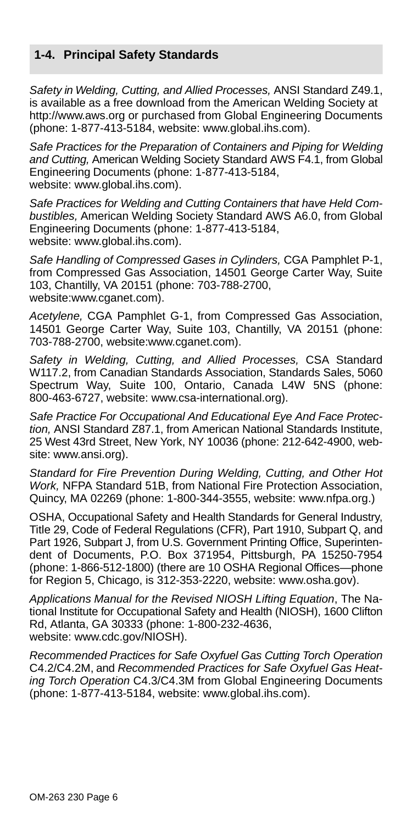#### <span id="page-7-0"></span>**1-4. Principal Safety Standards**

*Safety in Welding, Cutting, and Allied Processes,* ANSI Standard Z49.1, is available as a free download from the American Welding Society at http://www.aws.org or purchased from Global Engineering Documents (phone: 1-877-413-5184, website: www.global.ihs.com).

*Safe Practices for the Preparation of Containers and Piping for Welding and Cutting,* American Welding Society Standard AWS F4.1, from Global Engineering Documents (phone: 1-877-413-5184, website: www.global.ihs.com).

*Safe Practices for Welding and Cutting Containers that have Held Combustibles,* American Welding Society Standard AWS A6.0, from Global Engineering Documents (phone: 1-877-413-5184, website: www.global.ihs.com).

*Safe Handling of Compressed Gases in Cylinders,* CGA Pamphlet P-1, from Compressed Gas Association, 14501 George Carter Way, Suite 103, Chantilly, VA 20151 (phone: 703-788-2700, website:www.cganet.com).

*Acetylene,* CGA Pamphlet G-1, from Compressed Gas Association, 14501 George Carter Way, Suite 103, Chantilly, VA 20151 (phone: 703-788-2700, website:www.cganet.com).

*Safety in Welding, Cutting, and Allied Processes,* CSA Standard W117.2, from Canadian Standards Association, Standards Sales, 5060 Spectrum Way, Suite 100, Ontario, Canada L4W 5NS (phone: 800-463-6727, website: www.csa-international.org).

*Safe Practice For Occupational And Educational Eye And Face Protection,* ANSI Standard Z87.1, from American National Standards Institute, 25 West 43rd Street, New York, NY 10036 (phone: 212-642-4900, website: www.ansi.org).

*Standard for Fire Prevention During Welding, Cutting, and Other Hot Work,* NFPA Standard 51B, from National Fire Protection Association, Quincy, MA 02269 (phone: 1-800-344-3555, website: www.nfpa.org.)

OSHA, Occupational Safety and Health Standards for General Industry, Title 29, Code of Federal Regulations (CFR), Part 1910, Subpart Q, and Part 1926, Subpart J, from U.S. Government Printing Office, Superintendent of Documents, P.O. Box 371954, Pittsburgh, PA 15250-7954 (phone: 1-866-512-1800) (there are 10 OSHA Regional Offices—phone for Region 5, Chicago, is 312-353-2220, website: www.osha.gov).

*Applications Manual for the Revised NIOSH Lifting Equation*, The National Institute for Occupational Safety and Health (NIOSH), 1600 Clifton Rd, Atlanta, GA 30333 (phone: 1-800-232-4636, website: www.cdc.gov/NIOSH).

*Recommended Practices for Safe Oxyfuel Gas Cutting Torch Operation* C4.2/C4.2M, and *Recommended Practices for Safe Oxyfuel Gas Heating Torch Operation* C4.3/C4.3M from Global Engineering Documents (phone: 1-877-413-5184, website: www.global.ihs.com).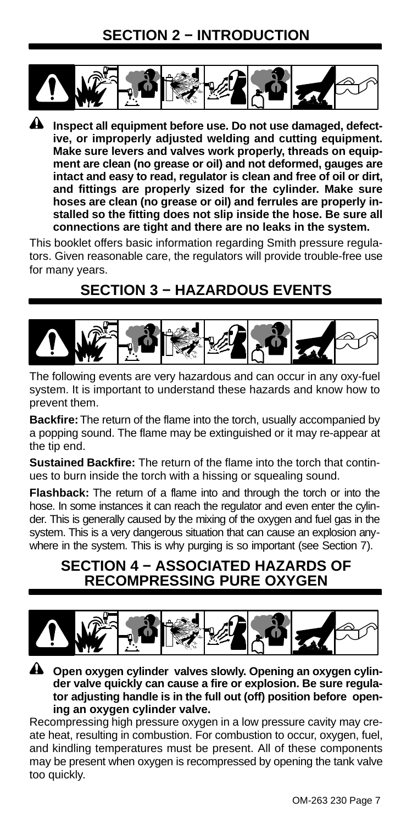## **SECTION 2 − INTRODUCTION**

<span id="page-8-0"></span>

**Inspect all equipment before use. Do not use damaged, defective, or improperly adjusted welding and cutting equipment. Make sure levers and valves work properly, threads on equipment are clean (no grease or oil) and not deformed, gauges are intact and easy to read, regulator is clean and free of oil or dirt, and fittings are properly sized for the cylinder. Make sure hoses are clean (no grease or oil) and ferrules are properly installed so the fitting does not slip inside the hose. Be sure all connections are tight and there are no leaks in the system.**

This booklet offers basic information regarding Smith pressure regulators. Given reasonable care, the regulators will provide trouble-free use for many years.

## **SECTION 3 − HAZARDOUS EVENTS**



The following events are very hazardous and can occur in any oxy-fuel system. It is important to understand these hazards and know how to prevent them.

**Backfire:** The return of the flame into the torch, usually accompanied by a popping sound. The flame may be extinguished or it may re-appear at the tip end.

**Sustained Backfire:** The return of the flame into the torch that continues to burn inside the torch with a hissing or squealing sound.

**Flashback:** The return of a flame into and through the torch or into the hose. In some instances it can reach the regulator and even enter the cylinder. This is generally caused by the mixing of the oxygen and fuel gas in the system. This is a very dangerous situation that can cause an explosion anywhere in the system. This is why purging is so important (see Section [7](#page-12-0)).

## **SECTION 4 − ASSOCIATED HAZARDS OF RECOMPRESSING PURE OXYGEN**



**Open oxygen cylinder valves slowly. Opening an oxygen cylinder valve quickly can cause a fire or explosion. Be sure regulator adjusting handle is in the full out (off) position before opening an oxygen cylinder valve.**

Recompressing high pressure oxygen in a low pressure cavity may create heat, resulting in combustion. For combustion to occur, oxygen, fuel, and kindling temperatures must be present. All of these components may be present when oxygen is recompressed by opening the tank valve too quickly.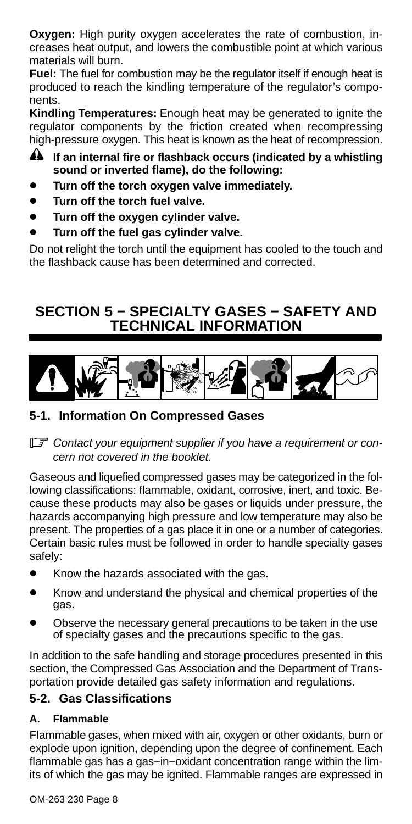<span id="page-9-0"></span>**Oxygen:** High purity oxygen accelerates the rate of combustion, increases heat output, and lowers the combustible point at which various materials will burn.

**Fuel:** The fuel for combustion may be the regulator itself if enough heat is produced to reach the kindling temperature of the regulator's components.

**Kindling Temperatures:** Enough heat may be generated to ignite the regulator components by the friction created when recompressing high-pressure oxygen. This heat is known as the heat of recompression.

- **A** If an internal fire or flashback occurs (indicated by a whistling **sound or inverted flame), do the following:**
- **Turn off the torch oxygen valve immediately.**
- **Turn off the torch fuel valve.**
- **Turn off the oxygen cylinder valve.**
- **Turn off the fuel gas cylinder valve.**

Do not relight the torch until the equipment has cooled to the touch and the flashback cause has been determined and corrected.

## **SECTION 5 − SPECIALTY GASES − SAFETY AND TECHNICAL INFORMATION**



#### **5-1. Information On Compressed Gases**

- *Contact your equipment supplier if you have a requirement or concern not covered in the booklet.*

Gaseous and liquefied compressed gases may be categorized in the following classifications: flammable, oxidant, corrosive, inert, and toxic. Because these products may also be gases or liquids under pressure, the hazards accompanying high pressure and low temperature may also be present. The properties of a gas place it in one or a number of categories. Certain basic rules must be followed in order to handle specialty gases safely:

- Know the hazards associated with the gas.
- Know and understand the physical and chemical properties of the gas.
- Observe the necessary general precautions to be taken in the use of specialty gases and the precautions specific to the gas.

In addition to the safe handling and storage procedures presented in this section, the Compressed Gas Association and the Department of Transportation provide detailed gas safety information and regulations.

#### **5-2. Gas Classifications**

#### **A. Flammable**

Flammable gases, when mixed with air, oxygen or other oxidants, burn or explode upon ignition, depending upon the degree of confinement. Each flammable gas has a gas−in−oxidant concentration range within the limits of which the gas may be ignited. Flammable ranges are expressed in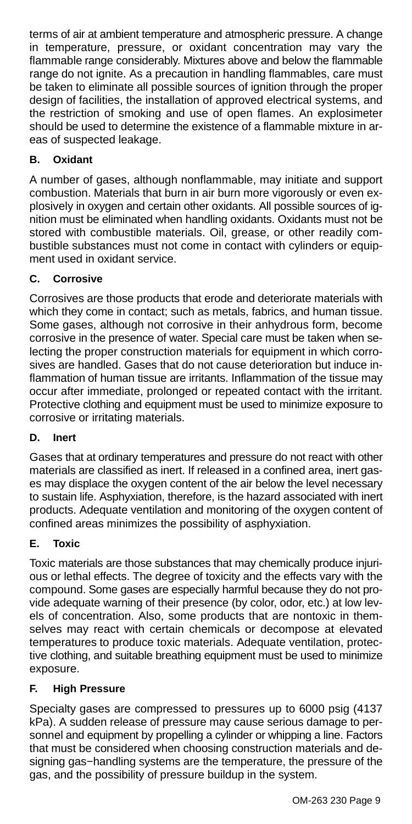terms of air at ambient temperature and atmospheric pressure. A change in temperature, pressure, or oxidant concentration may vary the flammable range considerably. Mixtures above and below the flammable range do not ignite. As a precaution in handling flammables, care must be taken to eliminate all possible sources of ignition through the proper design of facilities, the installation of approved electrical systems, and the restriction of smoking and use of open flames. An explosimeter should be used to determine the existence of a flammable mixture in areas of suspected leakage.

#### **B. Oxidant**

A number of gases, although nonflammable, may initiate and support combustion. Materials that burn in air burn more vigorously or even explosively in oxygen and certain other oxidants. All possible sources of ignition must be eliminated when handling oxidants. Oxidants must not be stored with combustible materials. Oil, grease, or other readily combustible substances must not come in contact with cylinders or equipment used in oxidant service.

#### **C. Corrosive**

Corrosives are those products that erode and deteriorate materials with which they come in contact; such as metals, fabrics, and human tissue. Some gases, although not corrosive in their anhydrous form, become corrosive in the presence of water. Special care must be taken when selecting the proper construction materials for equipment in which corrosives are handled. Gases that do not cause deterioration but induce inflammation of human tissue are irritants. Inflammation of the tissue may occur after immediate, prolonged or repeated contact with the irritant. Protective clothing and equipment must be used to minimize exposure to corrosive or irritating materials.

#### **D. Inert**

Gases that at ordinary temperatures and pressure do not react with other materials are classified as inert. If released in a confined area, inert gases may displace the oxygen content of the air below the level necessary to sustain life. Asphyxiation, therefore, is the hazard associated with inert products. Adequate ventilation and monitoring of the oxygen content of confined areas minimizes the possibility of asphyxiation.

#### **E. Toxic**

Toxic materials are those substances that may chemically produce injurious or lethal effects. The degree of toxicity and the effects vary with the compound. Some gases are especially harmful because they do not provide adequate warning of their presence (by color, odor, etc.) at low levels of concentration. Also, some products that are nontoxic in themselves may react with certain chemicals or decompose at elevated temperatures to produce toxic materials. Adequate ventilation, protective clothing, and suitable breathing equipment must be used to minimize exposure.

#### **F. High Pressure**

Specialty gases are compressed to pressures up to 6000 psig (4137 kPa). A sudden release of pressure may cause serious damage to personnel and equipment by propelling a cylinder or whipping a line. Factors that must be considered when choosing construction materials and designing gas−handling systems are the temperature, the pressure of the gas, and the possibility of pressure buildup in the system.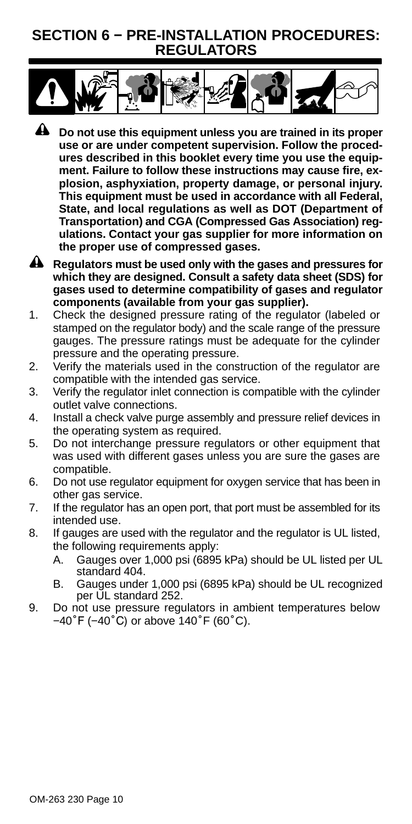## <span id="page-11-0"></span>**SECTION 6 − PRE-INSTALLATION PROCEDURES: REGULATORS**



- **A** Do not use this equipment unless you are trained in its proper **use or are under competent supervision. Follow the procedures described in this booklet every time you use the equipment. Failure to follow these instructions may cause fire, explosion, asphyxiation, property damage, or personal injury. This equipment must be used in accordance with all Federal, State, and local regulations as well as DOT (Department of Transportation) and CGA (Compressed Gas Association) regulations. Contact your gas supplier for more information on the proper use of compressed gases.**
- **A** Regulators must be used only with the gases and pressures for **which they are designed. Consult a safety data sheet (SDS) for gases used to determine compatibility of gases and regulator components (available from your gas supplier).**
- 1. Check the designed pressure rating of the regulator (labeled or stamped on the regulator body) and the scale range of the pressure gauges. The pressure ratings must be adequate for the cylinder pressure and the operating pressure.
- 2. Verify the materials used in the construction of the regulator are compatible with the intended gas service.
- 3. Verify the regulator inlet connection is compatible with the cylinder outlet valve connections.
- 4. Install a check valve purge assembly and pressure relief devices in the operating system as required.
- 5. Do not interchange pressure regulators or other equipment that was used with different gases unless you are sure the gases are compatible.
- 6. Do not use regulator equipment for oxygen service that has been in other gas service.
- 7. If the regulator has an open port, that port must be assembled for its intended use.
- 8. If gauges are used with the regulator and the regulator is UL listed, the following requirements apply:
	- A. Gauges over 1,000 psi (6895 kPa) should be UL listed per UL standard 404.
	- B. Gauges under 1,000 psi (6895 kPa) should be UL recognized per UL standard 252.
- 9. Do not use pressure regulators in ambient temperatures below −40˚F (−40˚C) or above 140˚F (60˚C).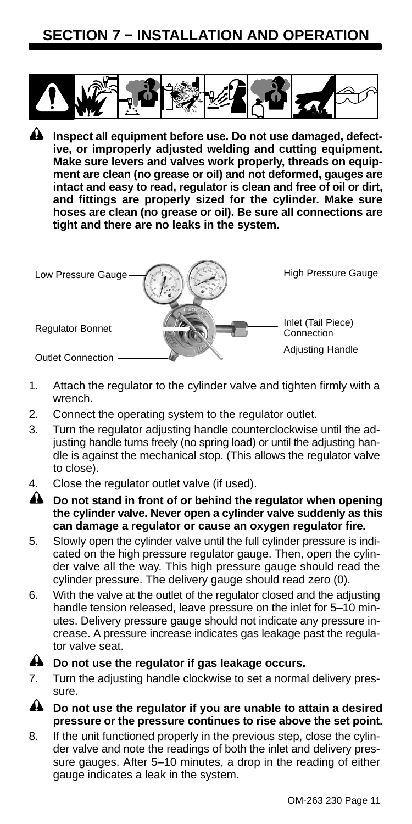## <span id="page-12-0"></span>**SECTION 7 − INSTALLATION AND OPERATION**



**A** Inspect all equipment before use. Do not use damaged, defect**ive, or improperly adjusted welding and cutting equipment. Make sure levers and valves work properly, threads on equipment are clean (no grease or oil) and not deformed, gauges are intact and easy to read, regulator is clean and free of oil or dirt, and fittings are properly sized for the cylinder. Make sure hoses are clean (no grease or oil). Be sure all connections are tight and there are no leaks in the system.**



- 1. Attach the regulator to the cylinder valve and tighten firmly with a wrench.
- 2. Connect the operating system to the regulator outlet.
- 3. Turn the regulator adjusting handle counterclockwise until the adjusting handle turns freely (no spring load) or until the adjusting handle is against the mechanical stop. (This allows the regulator valve to close).
- 4. Close the regulator outlet valve (if used).
- **A** Do not stand in front of or behind the regulator when opening **the cylinder valve. Never open a cylinder valve suddenly as this can damage a regulator or cause an oxygen regulator fire.**
- 5. Slowly open the cylinder valve until the full cylinder pressure is indicated on the high pressure regulator gauge. Then, open the cylinder valve all the way. This high pressure gauge should read the cylinder pressure. The delivery gauge should read zero (0).
- 6. With the valve at the outlet of the regulator closed and the adjusting handle tension released, leave pressure on the inlet for 5–10 minutes. Delivery pressure gauge should not indicate any pressure increase. A pressure increase indicates gas leakage past the regulator valve seat.

#### **A** Do not use the regulator if gas leakage occurs.

- 7. Turn the adjusting handle clockwise to set a normal delivery pressure.
- **Do not use the regulator if you are unable to attain a desired pressure or the pressure continues to rise above the set point.**
- 8. If the unit functioned properly in the previous step, close the cylinder valve and note the readings of both the inlet and delivery pressure gauges. After 5–10 minutes, a drop in the reading of either gauge indicates a leak in the system.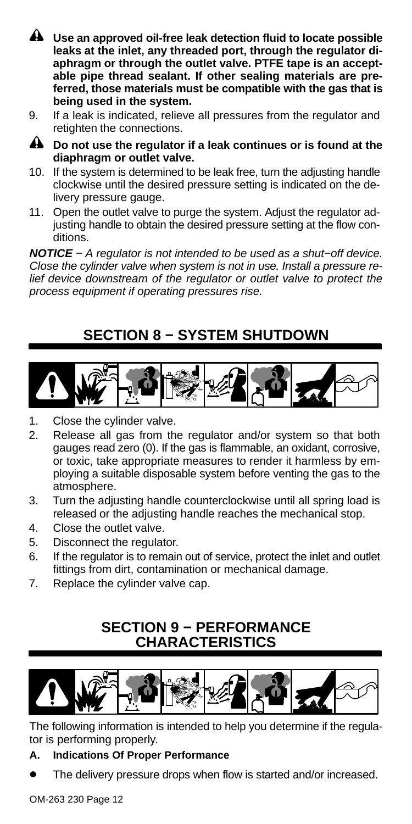- <span id="page-13-0"></span>**Use an approved oil-free leak detection fluid to locate possible leaks at the inlet, any threaded port, through the regulator diaphragm or through the outlet valve. PTFE tape is an acceptable pipe thread sealant. If other sealing materials are preferred, those materials must be compatible with the gas that is being used in the system.**
- 9. If a leak is indicated, relieve all pressures from the regulator and retighten the connections.
- **Do not use the regulator if a leak continues or is found at the diaphragm or outlet valve.**
- 10. If the system is determined to be leak free, turn the adjusting handle clockwise until the desired pressure setting is indicated on the delivery pressure gauge.
- 11. Open the outlet valve to purge the system. Adjust the regulator adjusting handle to obtain the desired pressure setting at the flow conditions.

*NOTICE − A regulator is not intended to be used as a shut−off device. Close the cylinder valve when system is not in use. Install a pressure relief device downstream of the regulator or outlet valve to protect the process equipment if operating pressures rise.*

## **SECTION 8 − SYSTEM SHUTDOWN**



- 1. Close the cylinder valve.
- 2. Release all gas from the regulator and/or system so that both gauges read zero (0). If the gas is flammable, an oxidant, corrosive, or toxic, take appropriate measures to render it harmless by employing a suitable disposable system before venting the gas to the atmosphere.
- 3. Turn the adjusting handle counterclockwise until all spring load is released or the adjusting handle reaches the mechanical stop.
- 4. Close the outlet valve.
- 5. Disconnect the regulator.
- 6. If the regulator is to remain out of service, protect the inlet and outlet fittings from dirt, contamination or mechanical damage.
- 7. Replace the cylinder valve cap.

## **SECTION 9 − PERFORMANCE CHARACTERISTICS**



The following information is intended to help you determine if the regulator is performing properly.

#### **A. Indications Of Proper Performance**

The delivery pressure drops when flow is started and/or increased.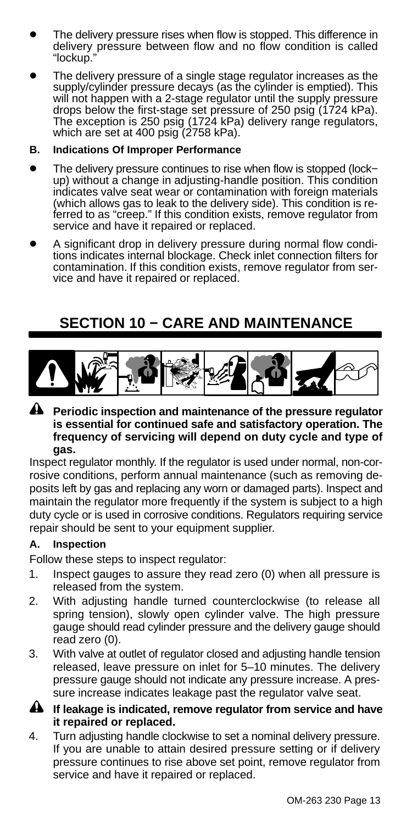- <span id="page-14-0"></span> The delivery pressure rises when flow is stopped. This difference in delivery pressure between flow and no flow condition is called "lockup."
- The delivery pressure of a single stage regulator increases as the supply/cylinder pressure decays (as the cylinder is emptied). This will not happen with a 2-stage regulator until the supply pressure drops below the first-stage set pressure of 250 psig (1724 kPa). The exception is 250 psig (1724 kPa) delivery range regulators, which are set at 400 psig (2758 kPa).

#### **B. Indications Of Improper Performance**

- The delivery pressure continues to rise when flow is stopped (lock− up) without a change in adjusting-handle position. This condition indicates valve seat wear or contamination with foreign materials (which allows gas to leak to the delivery side). This condition is re-ferred to as "creep." If this condition exists, remove regulator from service and have it repaired or replaced.
- A significant drop in delivery pressure during normal flow conditions indicates internal blockage. Check inlet connection filters for contamination. If this condition exists, remove regulator from service and have it repaired or replaced.

## **SECTION 10 − CARE AND MAINTENANCE**



**Periodic inspection and maintenance of the pressure regulator is essential for continued safe and satisfactory operation. The frequency of servicing will depend on duty cycle and type of gas.**

Inspect regulator monthly. If the regulator is used under normal, non-corrosive conditions, perform annual maintenance (such as removing deposits left by gas and replacing any worn or damaged parts). Inspect and maintain the regulator more frequently if the system is subject to a high duty cycle or is used in corrosive conditions. Regulators requiring service repair should be sent to your equipment supplier.

#### **A. Inspection**

Follow these steps to inspect regulator:

- 1. Inspect gauges to assure they read zero (0) when all pressure is released from the system.
- 2. With adjusting handle turned counterclockwise (to release all spring tension), slowly open cylinder valve. The high pressure gauge should read cylinder pressure and the delivery gauge should read zero (0).
- 3. With valve at outlet of regulator closed and adjusting handle tension released, leave pressure on inlet for 5–10 minutes. The delivery pressure gauge should not indicate any pressure increase. A pressure increase indicates leakage past the regulator valve seat.
- **If leakage is indicated, remove regulator from service and have it repaired or replaced.**
- 4. Turn adjusting handle clockwise to set a nominal delivery pressure. If you are unable to attain desired pressure setting or if delivery pressure continues to rise above set point, remove regulator from service and have it repaired or replaced.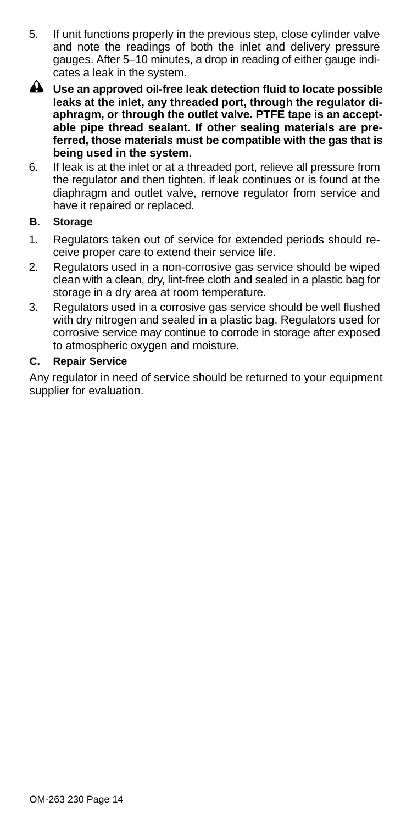- 5. If unit functions properly in the previous step, close cylinder valve and note the readings of both the inlet and delivery pressure gauges. After 5–10 minutes, a drop in reading of either gauge indicates a leak in the system.
- **Use an approved oil-free leak detection fluid to locate possible leaks at the inlet, any threaded port, through the regulator diaphragm, or through the outlet valve. PTFE tape is an acceptable pipe thread sealant. If other sealing materials are preferred, those materials must be compatible with the gas that is being used in the system.**
- 6. If leak is at the inlet or at a threaded port, relieve all pressure from the regulator and then tighten. if leak continues or is found at the diaphragm and outlet valve, remove regulator from service and have it repaired or replaced.

#### **B. Storage**

- 1. Regulators taken out of service for extended periods should receive proper care to extend their service life.
- 2. Regulators used in a non-corrosive gas service should be wiped clean with a clean, dry, lint-free cloth and sealed in a plastic bag for storage in a dry area at room temperature.
- 3. Regulators used in a corrosive gas service should be well flushed with dry nitrogen and sealed in a plastic bag. Regulators used for corrosive service may continue to corrode in storage after exposed to atmospheric oxygen and moisture.

#### **C. Repair Service**

Any regulator in need of service should be returned to your equipment supplier for evaluation.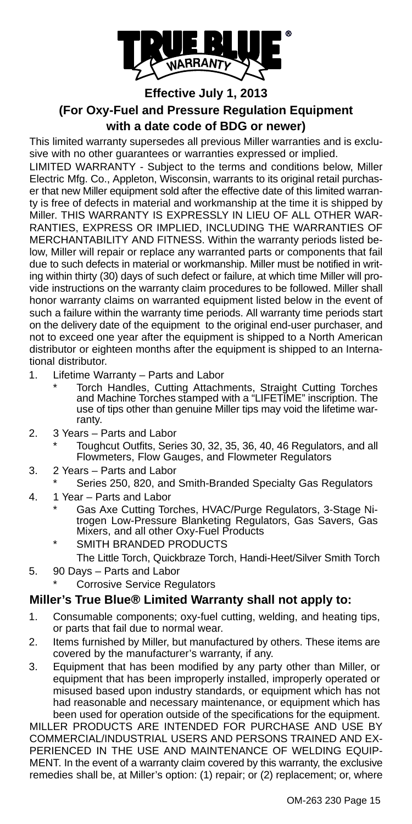

#### **Effective July 1, 2013 (For Oxy-Fuel and Pressure Regulation Equipment with a date code of BDG or newer)**

This limited warranty supersedes all previous Miller warranties and is exclusive with no other guarantees or warranties expressed or implied.

LIMITED WARRANTY - Subject to the terms and conditions below, Miller Electric Mfg. Co., Appleton, Wisconsin, warrants to its original retail purchaser that new Miller equipment sold after the effective date of this limited warranty is free of defects in material and workmanship at the time it is shipped by Miller. THIS WARRANTY IS EXPRESSLY IN LIEU OF ALL OTHER WAR-RANTIES, EXPRESS OR IMPLIED, INCLUDING THE WARRANTIES OF MERCHANTABILITY AND FITNESS. Within the warranty periods listed below, Miller will repair or replace any warranted parts or components that fail due to such defects in material or workmanship. Miller must be notified in writing within thirty (30) days of such defect or failure, at which time Miller will provide instructions on the warranty claim procedures to be followed. Miller shall honor warranty claims on warranted equipment listed below in the event of such a failure within the warranty time periods. All warranty time periods start on the delivery date of the equipment to the original end-user purchaser, and not to exceed one year after the equipment is shipped to a North American distributor or eighteen months after the equipment is shipped to an International distributor.

- 1. Lifetime Warranty Parts and Labor
	- Torch Handles, Cutting Attachments, Straight Cutting Torches and Machine Torches stamped with a "LIFETIME" inscription. The use of tips other than genuine Miller tips may void the lifetime warranty.
- 2. 3 Years Parts and Labor
	- Toughcut Outfits, Series 30, 32, 35, 36, 40, 46 Regulators, and all Flowmeters, Flow Gauges, and Flowmeter Regulators
- 3. 2 Years Parts and Labor
	- Series 250, 820, and Smith-Branded Specialty Gas Regulators
- 4. 1 Year Parts and Labor
	- \* Gas Axe Cutting Torches, HVAC/Purge Regulators, 3-Stage Ni-trogen Low-Pressure Blanketing Regulators, Gas Savers, Gas Mixers, and all other Oxy-Fuel Products
	- SMITH BRANDED PRODUCTS The Little Torch, Quickbraze Torch, Handi-Heet/Silver Smith Torch
- 5. 90 Days Parts and Labor Corrosive Service Regulators

#### **Miller's True Blue® Limited Warranty shall not apply to:**

- 1. Consumable components; oxy-fuel cutting, welding, and heating tips, or parts that fail due to normal wear.
- 2. Items furnished by Miller, but manufactured by others. These items are covered by the manufacturer's warranty, if any.
- 3. Equipment that has been modified by any party other than Miller, or equipment that has been improperly installed, improperly operated or misused based upon industry standards, or equipment which has not had reasonable and necessary maintenance, or equipment which has been used for operation outside of the specifications for the equipment.

MILLER PRODUCTS ARE INTENDED FOR PURCHASE AND USE BY COMMERCIAL/INDUSTRIAL USERS AND PERSONS TRAINED AND EX-PERIENCED IN THE USE AND MAINTENANCE OF WELDING EQUIP-MENT. In the event of a warranty claim covered by this warranty, the exclusive remedies shall be, at Miller's option: (1) repair; or (2) replacement; or, where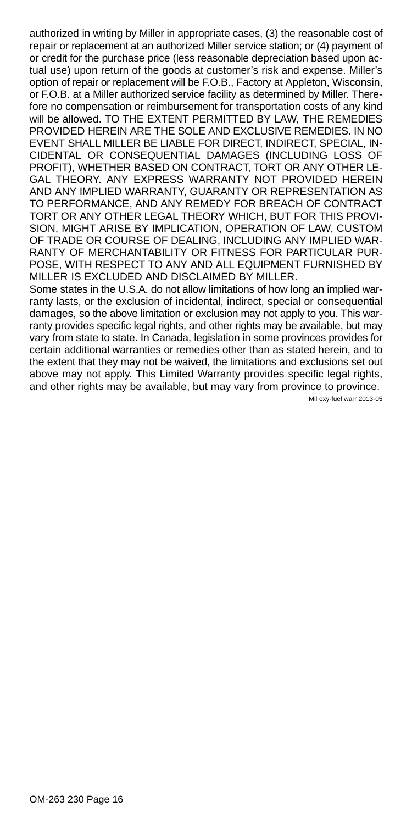authorized in writing by Miller in appropriate cases, (3) the reasonable cost of repair or replacement at an authorized Miller service station; or (4) payment of or credit for the purchase price (less reasonable depreciation based upon actual use) upon return of the goods at customer's risk and expense. Miller's option of repair or replacement will be F.O.B., Factory at Appleton, Wisconsin, or F.O.B. at a Miller authorized service facility as determined by Miller. Therefore no compensation or reimbursement for transportation costs of any kind will be allowed. TO THE EXTENT PERMITTED BY LAW, THE REMEDIES PROVIDED HEREIN ARE THE SOLE AND EXCLUSIVE REMEDIES. IN NO EVENT SHALL MILLER BE LIABLE FOR DIRECT, INDIRECT, SPECIAL, IN-CIDENTAL OR CONSEQUENTIAL DAMAGES (INCLUDING LOSS OF PROFIT), WHETHER BASED ON CONTRACT, TORT OR ANY OTHER LE-GAL THEORY. ANY EXPRESS WARRANTY NOT PROVIDED HEREIN AND ANY IMPLIED WARRANTY, GUARANTY OR REPRESENTATION AS TO PERFORMANCE, AND ANY REMEDY FOR BREACH OF CONTRACT TORT OR ANY OTHER LEGAL THEORY WHICH, BUT FOR THIS PROVI-SION, MIGHT ARISE BY IMPLICATION, OPERATION OF LAW, CUSTOM OF TRADE OR COURSE OF DEALING, INCLUDING ANY IMPLIED WAR-RANTY OF MERCHANTABILITY OR FITNESS FOR PARTICULAR PUR-POSE, WITH RESPECT TO ANY AND ALL EQUIPMENT FURNISHED BY MILLER IS EXCLUDED AND DISCLAIMED BY MILLER.

Some states in the U.S.A. do not allow limitations of how long an implied warranty lasts, or the exclusion of incidental, indirect, special or consequential damages, so the above limitation or exclusion may not apply to you. This warranty provides specific legal rights, and other rights may be available, but may vary from state to state. In Canada, legislation in some provinces provides for certain additional warranties or remedies other than as stated herein, and to the extent that they may not be waived, the limitations and exclusions set out above may not apply. This Limited Warranty provides specific legal rights, and other rights may be available, but may vary from province to province.

Mil oxy-fuel warr 2013-05